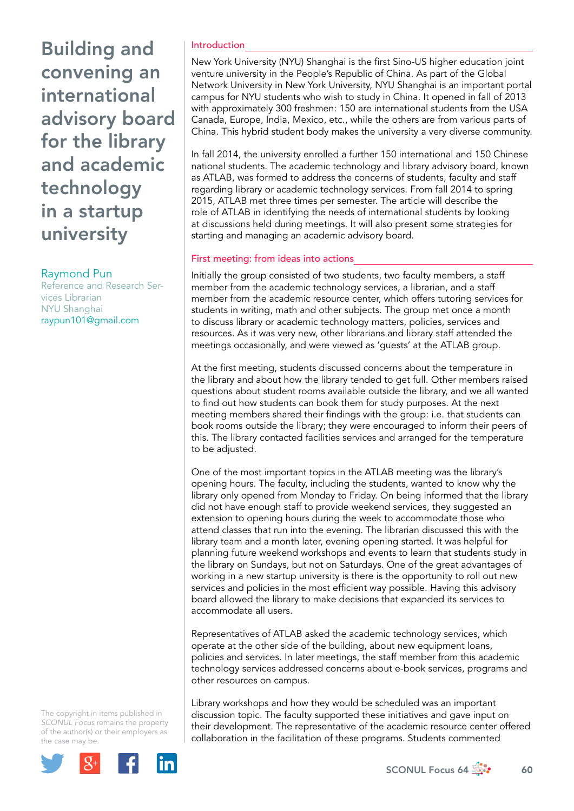Building and convening an international advisory board for the library and academic technology in a startup university

## Raymond Pun

Reference and Research Services Librarian NYU Shanghai raypun101@gmail.com

#### Introduction

New York University (NYU) Shanghai is the first Sino-US higher education joint venture university in the People's Republic of China. As part of the Global Network University in New York University, NYU Shanghai is an important portal campus for NYU students who wish to study in China. It opened in fall of 2013 with approximately 300 freshmen: 150 are international students from the USA Canada, Europe, India, Mexico, etc., while the others are from various parts of China. This hybrid student body makes the university a very diverse community.

In fall 2014, the university enrolled a further 150 international and 150 Chinese national students. The academic technology and library advisory board, known as ATLAB, was formed to address the concerns of students, faculty and staff regarding library or academic technology services. From fall 2014 to spring 2015, ATLAB met three times per semester. The article will describe the role of ATLAB in identifying the needs of international students by looking at discussions held during meetings. It will also present some strategies for starting and managing an academic advisory board.

## First meeting: from ideas into actions

Initially the group consisted of two students, two faculty members, a staff member from the academic technology services, a librarian, and a staff member from the academic resource center, which offers tutoring services for students in writing, math and other subjects. The group met once a month to discuss library or academic technology matters, policies, services and resources. As it was very new, other librarians and library staff attended the meetings occasionally, and were viewed as 'guests' at the ATLAB group.

At the first meeting, students discussed concerns about the temperature in the library and about how the library tended to get full. Other members raised questions about student rooms available outside the library, and we all wanted to find out how students can book them for study purposes. At the next meeting members shared their findings with the group: i.e. that students can book rooms outside the library; they were encouraged to inform their peers of this. The library contacted facilities services and arranged for the temperature to be adjusted.

One of the most important topics in the ATLAB meeting was the library's opening hours. The faculty, including the students, wanted to know why the library only opened from Monday to Friday. On being informed that the library did not have enough staff to provide weekend services, they suggested an extension to opening hours during the week to accommodate those who attend classes that run into the evening. The librarian discussed this with the library team and a month later, evening opening started. It was helpful for planning future weekend workshops and events to learn that students study in the library on Sundays, but not on Saturdays. One of the great advantages of working in a new startup university is there is the opportunity to roll out new services and policies in the most efficient way possible. Having this advisory board allowed the library to make decisions that expanded its services to accommodate all users.

Representatives of ATLAB asked the academic technology services, which operate at the other side of the building, about new equipment loans, policies and services. In later meetings, the staff member from this academic technology services addressed concerns about e-book services, programs and other resources on campus.

Library workshops and how they would be scheduled was an important discussion topic. The faculty supported these initiatives and gave input on their development. The representative of the academic resource center offered collaboration in the facilitation of these programs. Students commented

The copyright in items published in *SCONUL Focus* remains the property of the author(s) or their employers as the case m[ay be.](http://plus.google.com/share?url=http://www.sconul.ac.uk/page/focus-64)

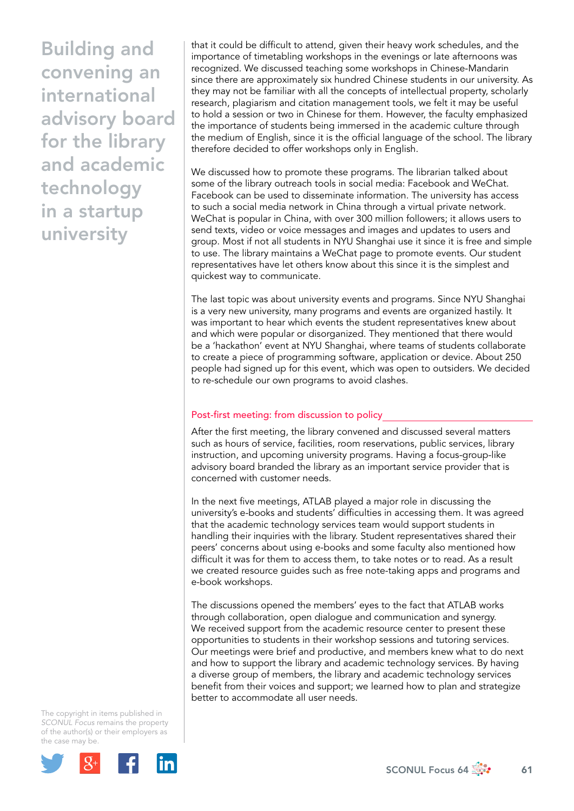Building and convening an international advisory board for the library and academic technology in a startup university

that it could be difficult to attend, given their heavy work schedules, and the importance of timetabling workshops in the evenings or late afternoons was recognized. We discussed teaching some workshops in Chinese-Mandarin since there are approximately six hundred Chinese students in our university. As they may not be familiar with all the concepts of intellectual property, scholarly research, plagiarism and citation management tools, we felt it may be useful to hold a session or two in Chinese for them. However, the faculty emphasized the importance of students being immersed in the academic culture through the medium of English, since it is the official language of the school. The library therefore decided to offer workshops only in English.

We discussed how to promote these programs. The librarian talked about some of the library outreach tools in social media: Facebook and WeChat. Facebook can be used to disseminate information. The university has access to such a social media network in China through a virtual private network. WeChat is popular in China, with over 300 million followers; it allows users to send texts, video or voice messages and images and updates to users and group. Most if not all students in NYU Shanghai use it since it is free and simple to use. The library maintains a WeChat page to promote events. Our student representatives have let others know about this since it is the simplest and quickest way to communicate.

The last topic was about university events and programs. Since NYU Shanghai is a very new university, many programs and events are organized hastily. It was important to hear which events the student representatives knew about and which were popular or disorganized. They mentioned that there would be a 'hackathon' event at NYU Shanghai, where teams of students collaborate to create a piece of programming software, application or device. About 250 people had signed up for this event, which was open to outsiders. We decided to re-schedule our own programs to avoid clashes.

## Post-first meeting: from discussion to policy

After the first meeting, the library convened and discussed several matters such as hours of service, facilities, room reservations, public services, library instruction, and upcoming university programs. Having a focus-group-like advisory board branded the library as an important service provider that is concerned with customer needs.

In the next five meetings, ATLAB played a major role in discussing the university's e-books and students' difficulties in accessing them. It was agreed that the academic technology services team would support students in handling their inquiries with the library. Student representatives shared their peers' concerns about using e-books and some faculty also mentioned how difficult it was for them to access them, to take notes or to read. As a result we created resource guides such as free note-taking apps and programs and e-book workshops.

The discussions opened the members' eyes to the fact that ATLAB works through collaboration, open dialogue and communication and synergy. We received support from the academic resource center to present these opportunities to students in their workshop sessions and tutoring services. Our meetings were brief and productive, and members knew what to do next and how to support the library and academic technology services. By having a diverse group of members, the library and academic technology services benefit from their voices and support; we learned how to plan and strategize better to accommodate all user needs.

The copyright in items published in *SCONUL Focus* remains the property of the author(s) or their employers as the case m[ay be.](http://plus.google.com/share?url=http://www.sconul.ac.uk/page/focus-64)